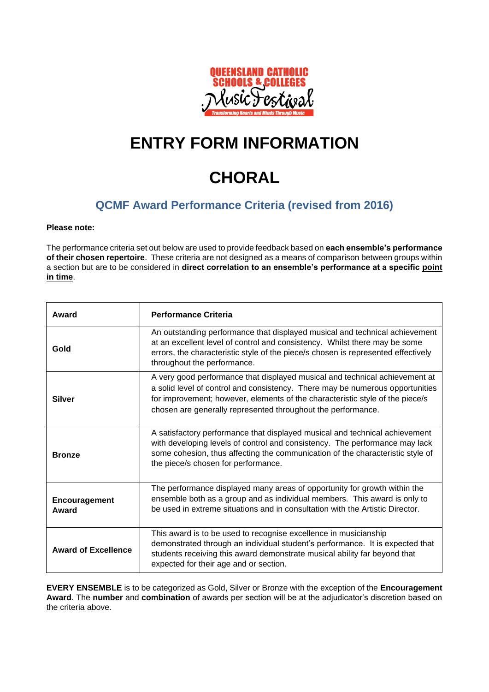

## **ENTRY FORM INFORMATION**

# **CHORAL**

### **QCMF Award Performance Criteria (revised from 2016)**

#### **Please note:**

The performance criteria set out below are used to provide feedback based on **each ensemble's performance of their chosen repertoire**. These criteria are not designed as a means of comparison between groups within a section but are to be considered in **direct correlation to an ensemble's performance at a specific point in time**.

| Award                      | <b>Performance Criteria</b>                                                                                                                                                                                                                                                                                   |
|----------------------------|---------------------------------------------------------------------------------------------------------------------------------------------------------------------------------------------------------------------------------------------------------------------------------------------------------------|
| Gold                       | An outstanding performance that displayed musical and technical achievement<br>at an excellent level of control and consistency. Whilst there may be some<br>errors, the characteristic style of the piece/s chosen is represented effectively<br>throughout the performance.                                 |
| <b>Silver</b>              | A very good performance that displayed musical and technical achievement at<br>a solid level of control and consistency. There may be numerous opportunities<br>for improvement; however, elements of the characteristic style of the piece/s<br>chosen are generally represented throughout the performance. |
| <b>Bronze</b>              | A satisfactory performance that displayed musical and technical achievement<br>with developing levels of control and consistency. The performance may lack<br>some cohesion, thus affecting the communication of the characteristic style of<br>the piece/s chosen for performance.                           |
| Encouragement<br>Award     | The performance displayed many areas of opportunity for growth within the<br>ensemble both as a group and as individual members. This award is only to<br>be used in extreme situations and in consultation with the Artistic Director.                                                                       |
| <b>Award of Excellence</b> | This award is to be used to recognise excellence in musicianship<br>demonstrated through an individual student's performance. It is expected that<br>students receiving this award demonstrate musical ability far beyond that<br>expected for their age and or section.                                      |

**EVERY ENSEMBLE** is to be categorized as Gold, Silver or Bronze with the exception of the **Encouragement Award**. The **number** and **combination** of awards per section will be at the adjudicator's discretion based on the criteria above.